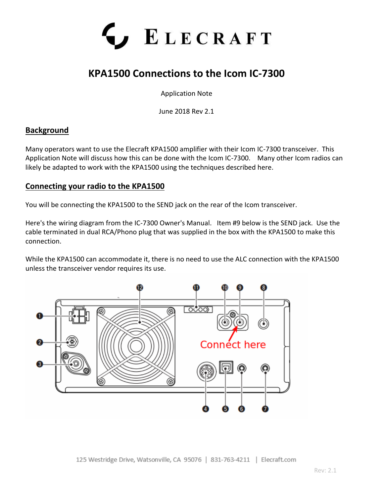

# **KPA1500 Connections to the Icom IC-7300**

Application Note

June 2018 Rev 2.1

# **Background**

Many operators want to use the Elecraft KPA1500 amplifier with their Icom IC-7300 transceiver. This Application Note will discuss how this can be done with the Icom IC-7300. Many other Icom radios can likely be adapted to work with the KPA1500 using the techniques described here.

### **Connecting your radio to the KPA1500**

You will be connecting the KPA1500 to the SEND jack on the rear of the Icom transceiver.

Here's the wiring diagram from the IC-7300 Owner's Manual. Item #9 below is the SEND jack. Use the cable terminated in dual RCA/Phono plug that was supplied in the box with the KPA1500 to make this connection.

While the KPA1500 can accommodate it, there is no need to use the ALC connection with the KPA1500 unless the transceiver vendor requires its use.

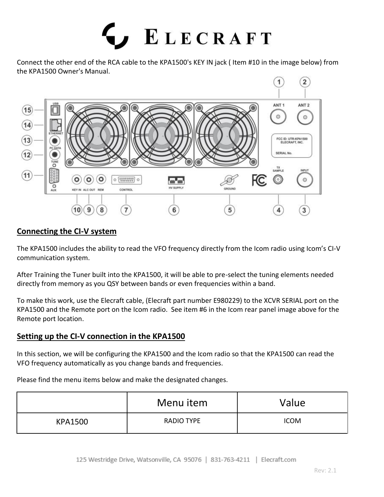

Connect the other end of the RCA cable to the KPA1500's KEY IN jack ( Item #10 in the image below) from the KPA1500 Owner's Manual.



## **Connecting the CI-V system**

The KPA1500 includes the ability to read the VFO frequency directly from the Icom radio using Icom's CI-V communication system.

After Training the Tuner built into the KPA1500, it will be able to pre-select the tuning elements needed directly from memory as you QSY between bands or even frequencies within a band.

To make this work, use the Elecraft cable, (Elecraft part number E980229) to the XCVR SERIAL port on the KPA1500 and the Remote port on the Icom radio. See item #6 in the Icom rear panel image above for the Remote port location.

### **Setting up the CI-V connection in the KPA1500**

In this section, we will be configuring the KPA1500 and the Icom radio so that the KPA1500 can read the VFO frequency automatically as you change bands and frequencies.

Please find the menu items below and make the designated changes.

|                | Menu item         | Value       |
|----------------|-------------------|-------------|
| <b>KPA1500</b> | <b>RADIO TYPE</b> | <b>ICOM</b> |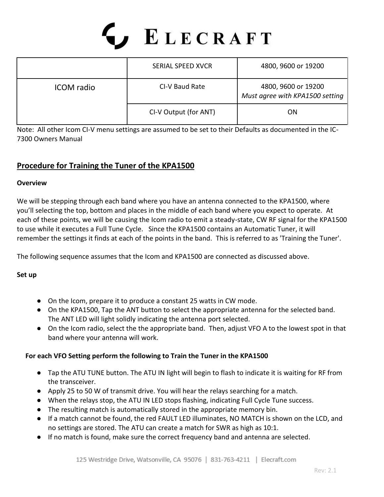# LECRAFT<sup></sup>

|                   | <b>SERIAL SPEED XVCR</b> | 4800, 9600 or 19200                                    |
|-------------------|--------------------------|--------------------------------------------------------|
| <b>ICOM</b> radio | CI-V Baud Rate           | 4800, 9600 or 19200<br>Must agree with KPA1500 setting |
|                   | CI-V Output (for ANT)    | ON                                                     |

Note: All other Icom CI-V menu settings are assumed to be set to their Defaults as documented in the IC-7300 Owners Manual

# **Procedure for Training the Tuner of the KPA1500**

#### **Overview**

We will be stepping through each band where you have an antenna connected to the KPA1500, where you'll selecting the top, bottom and places in the middle of each band where you expect to operate. At each of these points, we will be causing the Icom radio to emit a steady-state, CW RF signal for the KPA1500 to use while it executes a Full Tune Cycle. Since the KPA1500 contains an Automatic Tuner, it will remember the settings it finds at each of the points in the band. This is referred to as 'Training the Tuner'.

The following sequence assumes that the Icom and KPA1500 are connected as discussed above.

#### **Set up**

- On the Icom, prepare it to produce a constant 25 watts in CW mode.
- On the KPA1500, Tap the ANT button to select the appropriate antenna for the selected band. The ANT LED will light solidly indicating the antenna port selected.
- On the Icom radio, select the the appropriate band. Then, adjust VFO A to the lowest spot in that band where your antenna will work.

#### **For each VFO Setting perform the following to Train the Tuner in the KPA1500**

- Tap the ATU TUNE button. The ATU IN light will begin to flash to indicate it is waiting for RF from the transceiver.
- Apply 25 to 50 W of transmit drive. You will hear the relays searching for a match.
- When the relays stop, the ATU IN LED stops flashing, indicating Full Cycle Tune success.
- The resulting match is automatically stored in the appropriate memory bin.
- If a match cannot be found, the red FAULT LED illuminates, NO MATCH is shown on the LCD, and no settings are stored. The ATU can create a match for SWR as high as 10:1.
- If no match is found, make sure the correct frequency band and antenna are selected.